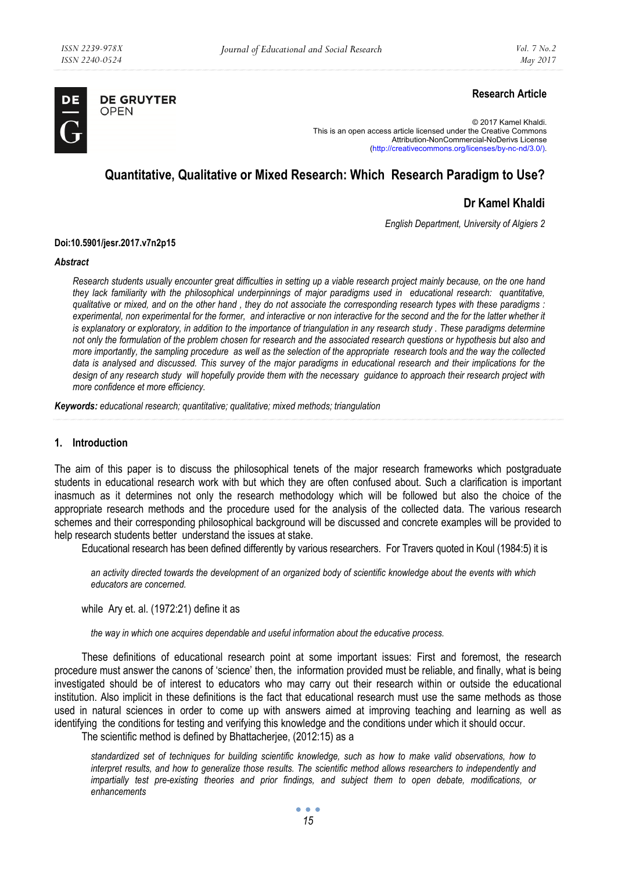

**DE GRUYTER** OPEN

## **Research Article**

© 2017 Kamel Khaldi. This is an open access article licensed under the Creative Commons Attribution-NonCommercial-NoDerivs License (http://creativecommons.org/licenses/by-nc-nd/3.0/).

# **Quantitative, Qualitative or Mixed Research: Which Research Paradigm to Use?**

## **Dr Kamel Khaldi**

*English Department, University of Algiers 2* 

#### **Doi:10.5901/jesr.2017.v7n2p15**

#### *Abstract*

*Research students usually encounter great difficulties in setting up a viable research project mainly because, on the one hand they lack familiarity with the philosophical underpinnings of major paradigms used in educational research: quantitative, qualitative or mixed, and on the other hand , they do not associate the corresponding research types with these paradigms : experimental, non experimental for the former, and interactive or non interactive for the second and the for the latter whether it is explanatory or exploratory, in addition to the importance of triangulation in any research study . These paradigms determine not only the formulation of the problem chosen for research and the associated research questions or hypothesis but also and more importantly, the sampling procedure as well as the selection of the appropriate research tools and the way the collected data is analysed and discussed. This survey of the major paradigms in educational research and their implications for the design of any research study will hopefully provide them with the necessary guidance to approach their research project with more confidence et more efficiency.* 

*Keywords: educational research; quantitative; qualitative; mixed methods; triangulation* 

## **1. Introduction**

The aim of this paper is to discuss the philosophical tenets of the major research frameworks which postgraduate students in educational research work with but which they are often confused about. Such a clarification is important inasmuch as it determines not only the research methodology which will be followed but also the choice of the appropriate research methods and the procedure used for the analysis of the collected data. The various research schemes and their corresponding philosophical background will be discussed and concrete examples will be provided to help research students better understand the issues at stake.

Educational research has been defined differently by various researchers. For Travers quoted in Koul (1984:5) it is

*an activity directed towards the development of an organized body of scientific knowledge about the events with which educators are concerned.* 

while Ary et. al. (1972:21) define it as

*the way in which one acquires dependable and useful information about the educative process.* 

These definitions of educational research point at some important issues: First and foremost, the research procedure must answer the canons of 'science' then, the information provided must be reliable, and finally, what is being investigated should be of interest to educators who may carry out their research within or outside the educational institution. Also implicit in these definitions is the fact that educational research must use the same methods as those used in natural sciences in order to come up with answers aimed at improving teaching and learning as well as identifying the conditions for testing and verifying this knowledge and the conditions under which it should occur.

The scientific method is defined by Bhattacherjee, (2012:15) as a

*standardized set of techniques for building scientific knowledge, such as how to make valid observations, how to interpret results, and how to generalize those results. The scientific method allows researchers to independently and impartially test pre-existing theories and prior findings, and subject them to open debate, modifications, or enhancements*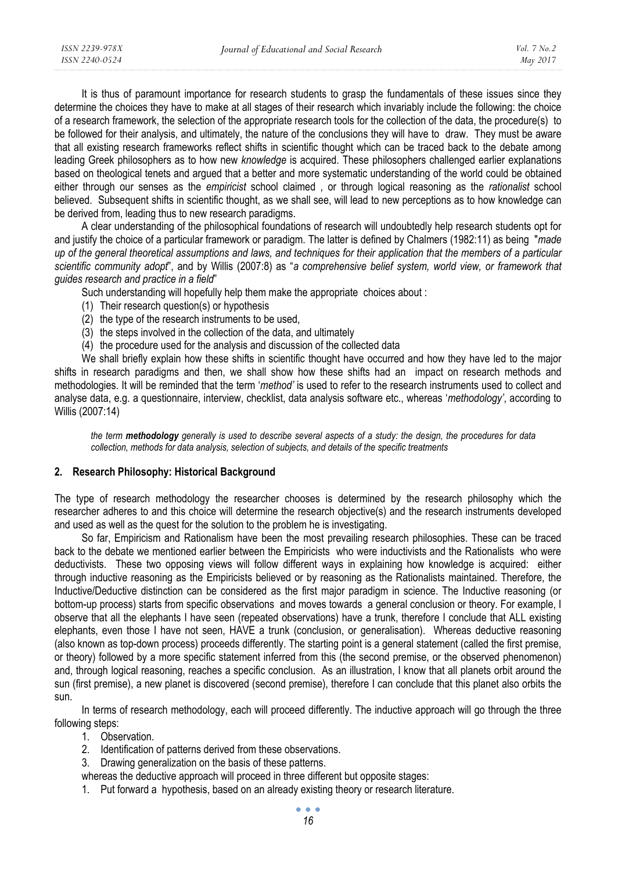It is thus of paramount importance for research students to grasp the fundamentals of these issues since they determine the choices they have to make at all stages of their research which invariably include the following: the choice of a research framework, the selection of the appropriate research tools for the collection of the data, the procedure(s) to be followed for their analysis, and ultimately, the nature of the conclusions they will have to draw. They must be aware that all existing research frameworks reflect shifts in scientific thought which can be traced back to the debate among leading Greek philosophers as to how new *knowledge* is acquired. These philosophers challenged earlier explanations based on theological tenets and argued that a better and more systematic understanding of the world could be obtained either through our senses as the *empiricist* school claimed , or through logical reasoning as the *rationalist* school believed. Subsequent shifts in scientific thought, as we shall see, will lead to new perceptions as to how knowledge can be derived from, leading thus to new research paradigms.

A clear understanding of the philosophical foundations of research will undoubtedly help research students opt for and justify the choice of a particular framework or paradigm. The latter is defined by Chalmers (1982:11) as being "*made up of the general theoretical assumptions and laws, and techniques for their application that the members of a particular scientific community adopt*", and by Willis (2007:8) as "*a comprehensive belief system, world view, or framework that guides research and practice in a field*"

Such understanding will hopefully help them make the appropriate choices about :

- (1) Their research question(s) or hypothesis
- (2) the type of the research instruments to be used,
- (3) the steps involved in the collection of the data, and ultimately
- (4) the procedure used for the analysis and discussion of the collected data

We shall briefly explain how these shifts in scientific thought have occurred and how they have led to the major shifts in research paradigms and then, we shall show how these shifts had an impact on research methods and methodologies. It will be reminded that the term '*method'* is used to refer to the research instruments used to collect and analyse data, e.g. a questionnaire, interview, checklist, data analysis software etc., whereas '*methodology'*, according to Willis (2007:14)

*the term methodology generally is used to describe several aspects of a study: the design, the procedures for data collection, methods for data analysis, selection of subjects, and details of the specific treatments* 

## **2. Research Philosophy: Historical Background**

The type of research methodology the researcher chooses is determined by the research philosophy which the researcher adheres to and this choice will determine the research objective(s) and the research instruments developed and used as well as the quest for the solution to the problem he is investigating.

So far, Empiricism and Rationalism have been the most prevailing research philosophies. These can be traced back to the debate we mentioned earlier between the Empiricists who were inductivists and the Rationalists who were deductivists. These two opposing views will follow different ways in explaining how knowledge is acquired: either through inductive reasoning as the Empiricists believed or by reasoning as the Rationalists maintained. Therefore, the Inductive/Deductive distinction can be considered as the first major paradigm in science. The Inductive reasoning (or bottom-up process) starts from specific observations and moves towards a general conclusion or theory. For example, I observe that all the elephants I have seen (repeated observations) have a trunk, therefore I conclude that ALL existing elephants, even those I have not seen, HAVE a trunk (conclusion, or generalisation). Whereas deductive reasoning (also known as top-down process) proceeds differently. The starting point is a general statement (called the first premise, or theory) followed by a more specific statement inferred from this (the second premise, or the observed phenomenon) and, through logical reasoning, reaches a specific conclusion. As an illustration, I know that all planets orbit around the sun (first premise), a new planet is discovered (second premise), therefore I can conclude that this planet also orbits the sun.

In terms of research methodology, each will proceed differently. The inductive approach will go through the three following steps:

- 1. Observation.
- 2. Identification of patterns derived from these observations.
- 3. Drawing generalization on the basis of these patterns.
- whereas the deductive approach will proceed in three different but opposite stages:
- 1. Put forward a hypothesis, based on an already existing theory or research literature.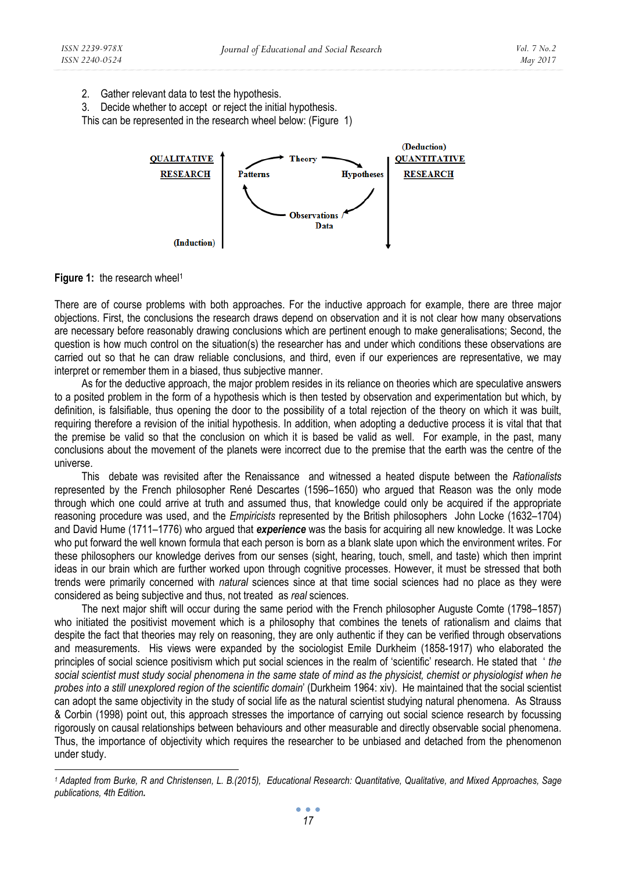2. Gather relevant data to test the hypothesis.

3. Decide whether to accept or reject the initial hypothesis.

This can be represented in the research wheel below: (Figure 1)



Figure 1: the research wheel<sup>1</sup>

There are of course problems with both approaches. For the inductive approach for example, there are three major objections. First, the conclusions the research draws depend on observation and it is not clear how many observations are necessary before reasonably drawing conclusions which are pertinent enough to make generalisations; Second, the question is how much control on the situation(s) the researcher has and under which conditions these observations are carried out so that he can draw reliable conclusions, and third, even if our experiences are representative, we may interpret or remember them in a biased, thus subjective manner.

As for the deductive approach, the major problem resides in its reliance on theories which are speculative answers to a posited problem in the form of a hypothesis which is then tested by observation and experimentation but which, by definition, is falsifiable, thus opening the door to the possibility of a total rejection of the theory on which it was built, requiring therefore a revision of the initial hypothesis. In addition, when adopting a deductive process it is vital that that the premise be valid so that the conclusion on which it is based be valid as well. For example, in the past, many conclusions about the movement of the planets were incorrect due to the premise that the earth was the centre of the universe.

This debate was revisited after the Renaissance and witnessed a heated dispute between the *Rationalists* represented by the French philosopher René Descartes (1596–1650) who argued that Reason was the only mode through which one could arrive at truth and assumed thus, that knowledge could only be acquired if the appropriate reasoning procedure was used, and the *Empiricists* represented by the British philosophers John Locke (1632–1704) and David Hume (1711–1776) who argued that *experience* was the basis for acquiring all new knowledge. It was Locke who put forward the well known formula that each person is born as a blank slate upon which the environment writes. For these philosophers our knowledge derives from our senses (sight, hearing, touch, smell, and taste) which then imprint ideas in our brain which are further worked upon through cognitive processes. However, it must be stressed that both trends were primarily concerned with *natural* sciences since at that time social sciences had no place as they were considered as being subjective and thus, not treated as *real* sciences.

The next major shift will occur during the same period with the French philosopher Auguste Comte (1798–1857) who initiated the positivist movement which is a philosophy that combines the tenets of rationalism and claims that despite the fact that theories may rely on reasoning, they are only authentic if they can be verified through observations and measurements. His views were expanded by the sociologist Emile Durkheim (1858-1917) who elaborated the principles of social science positivism which put social sciences in the realm of 'scientific' research. He stated that ' *the social scientist must study social phenomena in the same state of mind as the physicist, chemist or physiologist when he probes into a still unexplored region of the scientific domain*' (Durkheim 1964: xiv). He maintained that the social scientist can adopt the same objectivity in the study of social life as the natural scientist studying natural phenomena. As Strauss & Corbin (1998) point out, this approach stresses the importance of carrying out social science research by focussing rigorously on causal relationships between behaviours and other measurable and directly observable social phenomena. Thus, the importance of objectivity which requires the researcher to be unbiased and detached from the phenomenon under study.

*<sup>1</sup> Adapted from Burke, R and Christensen, L. B.(2015), Educational Research: Quantitative, Qualitative, and Mixed Approaches, Sage publications, 4th Edition.*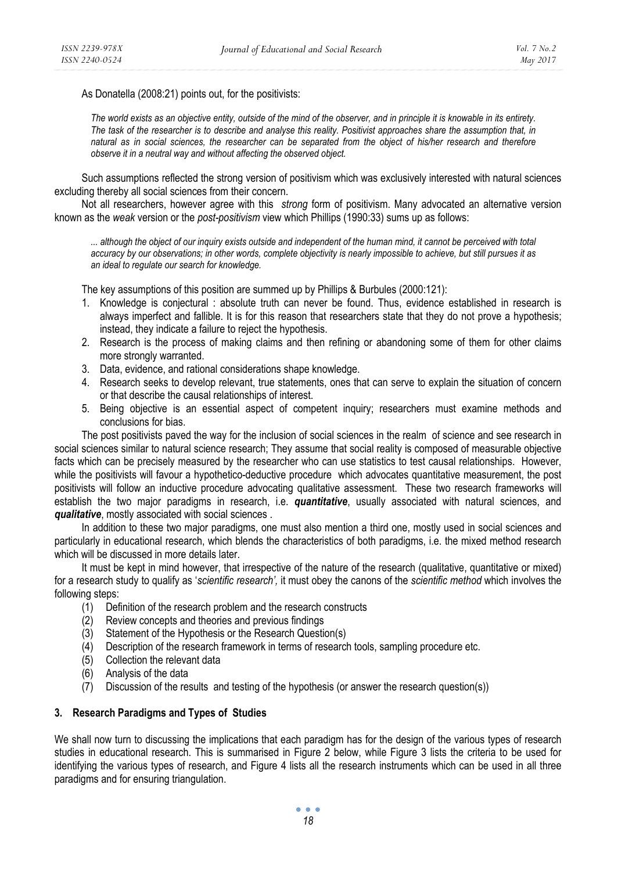As Donatella (2008:21) points out, for the positivists:

*The world exists as an objective entity, outside of the mind of the observer, and in principle it is knowable in its entirety. The task of the researcher is to describe and analyse this reality. Positivist approaches share the assumption that, in natural as in social sciences, the researcher can be separated from the object of his/her research and therefore observe it in a neutral way and without affecting the observed object.* 

Such assumptions reflected the strong version of positivism which was exclusively interested with natural sciences excluding thereby all social sciences from their concern.

Not all researchers, however agree with this *strong* form of positivism. Many advocated an alternative version known as the *weak* version or the *post-positivism* view which Phillips (1990:33) sums up as follows:

*... although the object of our inquiry exists outside and independent of the human mind, it cannot be perceived with total accuracy by our observations; in other words, complete objectivity is nearly impossible to achieve, but still pursues it as an ideal to regulate our search for knowledge.* 

The key assumptions of this position are summed up by Phillips & Burbules (2000:121):

- 1. Knowledge is conjectural : absolute truth can never be found. Thus, evidence established in research is always imperfect and fallible. It is for this reason that researchers state that they do not prove a hypothesis; instead, they indicate a failure to reject the hypothesis.
- 2. Research is the process of making claims and then refining or abandoning some of them for other claims more strongly warranted.
- 3. Data, evidence, and rational considerations shape knowledge.
- 4. Research seeks to develop relevant, true statements, ones that can serve to explain the situation of concern or that describe the causal relationships of interest.
- 5. Being objective is an essential aspect of competent inquiry; researchers must examine methods and conclusions for bias.

The post positivists paved the way for the inclusion of social sciences in the realm of science and see research in social sciences similar to natural science research; They assume that social reality is composed of measurable objective facts which can be precisely measured by the researcher who can use statistics to test causal relationships. However, while the positivists will favour a hypothetico-deductive procedure which advocates quantitative measurement, the post positivists will follow an inductive procedure advocating qualitative assessment. These two research frameworks will establish the two major paradigms in research, i.e. *quantitative*, usually associated with natural sciences, and *qualitative*, mostly associated with social sciences .

In addition to these two major paradigms, one must also mention a third one, mostly used in social sciences and particularly in educational research, which blends the characteristics of both paradigms, i.e. the mixed method research which will be discussed in more details later.

It must be kept in mind however, that irrespective of the nature of the research (qualitative, quantitative or mixed) for a research study to qualify as '*scientific research',* it must obey the canons of the *scientific method* which involves the following steps:

- (1) Definition of the research problem and the research constructs
- (2) Review concepts and theories and previous findings
- (3) Statement of the Hypothesis or the Research Question(s)
- (4) Description of the research framework in terms of research tools, sampling procedure etc.
- (5) Collection the relevant data
- (6) Analysis of the data
- (7) Discussion of the results and testing of the hypothesis (or answer the research question(s))

## **3. Research Paradigms and Types of Studies**

We shall now turn to discussing the implications that each paradigm has for the design of the various types of research studies in educational research. This is summarised in Figure 2 below, while Figure 3 lists the criteria to be used for identifying the various types of research, and Figure 4 lists all the research instruments which can be used in all three paradigms and for ensuring triangulation.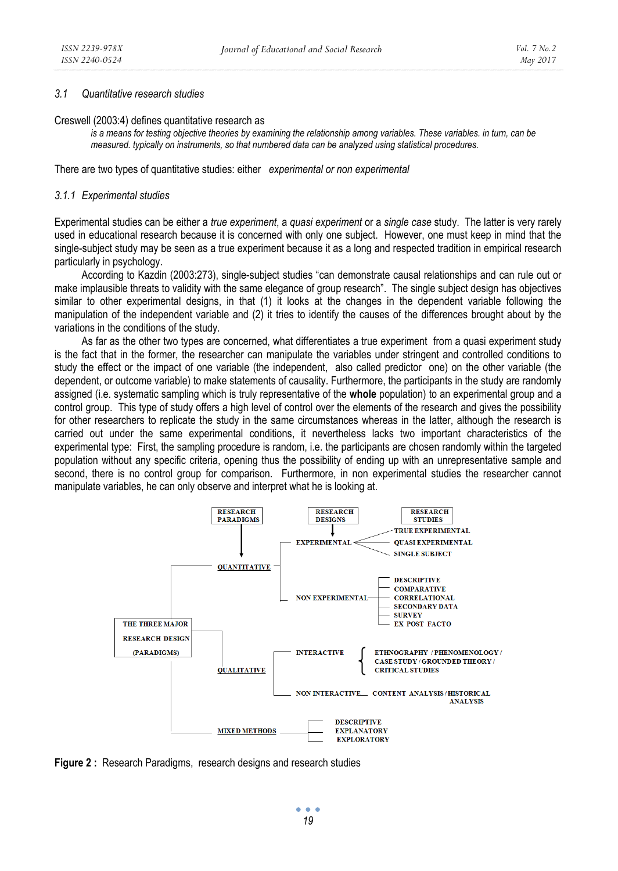## *3.1 Quantitative research studies*

Creswell (2003:4) defines quantitative research as

*is a means for testing objective theories by examining the relationship among variables. These variables. in turn, can be measured. typically on instruments, so that numbered data can be analyzed using statistical procedures.* 

There are two types of quantitative studies: either *experimental or non experimental* 

#### *3.1.1 Experimental studies*

Experimental studies can be either a *true experiment*, a *quasi experiment* or a *single case* study. The latter is very rarely used in educational research because it is concerned with only one subject. However, one must keep in mind that the single-subject study may be seen as a true experiment because it as a long and respected tradition in empirical research particularly in psychology.

According to Kazdin (2003:273), single-subject studies "can demonstrate causal relationships and can rule out or make implausible threats to validity with the same elegance of group research". The single subject design has objectives similar to other experimental designs, in that (1) it looks at the changes in the dependent variable following the manipulation of the independent variable and (2) it tries to identify the causes of the differences brought about by the variations in the conditions of the study.

As far as the other two types are concerned, what differentiates a true experiment from a quasi experiment study is the fact that in the former, the researcher can manipulate the variables under stringent and controlled conditions to study the effect or the impact of one variable (the independent, also called predictor one) on the other variable (the dependent, or outcome variable) to make statements of causality. Furthermore, the participants in the study are randomly assigned (i.e. systematic sampling which is truly representative of the **whole** population) to an experimental group and a control group. This type of study offers a high level of control over the elements of the research and gives the possibility for other researchers to replicate the study in the same circumstances whereas in the latter, although the research is carried out under the same experimental conditions, it nevertheless lacks two important characteristics of the experimental type: First, the sampling procedure is random, i.e. the participants are chosen randomly within the targeted population without any specific criteria, opening thus the possibility of ending up with an unrepresentative sample and second, there is no control group for comparison. Furthermore, in non experimental studies the researcher cannot manipulate variables, he can only observe and interpret what he is looking at.



**Figure 2 :** Research Paradigms, research designs and research studies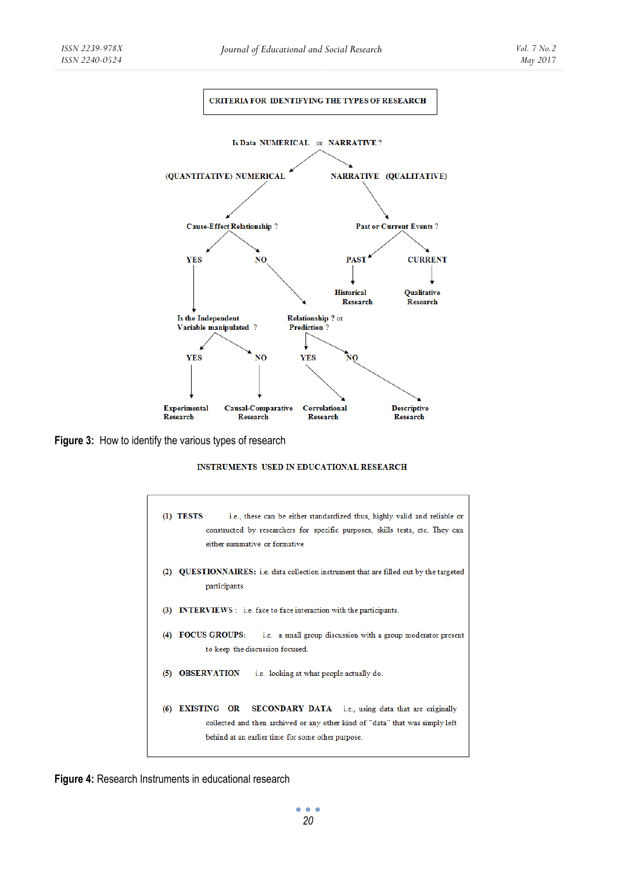

**Figure 3:** How to identify the various types of research

#### INSTRUMENTS USED IN EDUCATIONAL RESEARCH

| i.e., these can be either standardized thus, highly valid and reliable or<br>$(D)$ TESTS:<br>constructed by researchers for specific purposes, skills tests, etc. They can<br>either summative or formative           |
|-----------------------------------------------------------------------------------------------------------------------------------------------------------------------------------------------------------------------|
| <b>QUESTIONNAIRES:</b> i.e. data collection instrument that are filled out by the targeted<br>(2)<br>participants                                                                                                     |
| (3)<br><b>INTERVIEWS</b> : i.e. face to face interaction with the participants.                                                                                                                                       |
| <b>FOCUS GROUPS:</b><br>i.e. a small group discussion with a group moderator present<br>(4)<br>to keep the discussion focused.                                                                                        |
| <b>OBSERVATION</b><br>i.e. looking at what people actually do.<br>$\circ$                                                                                                                                             |
| EXISTING OR<br><b>SECONDARY DATA</b> i.e., using data that are originally<br>(6)<br>collected and then archived or any other kind of "data" that was simply left<br>behind at an earlier time for some other purpose. |

**Figure 4:** Research Instruments in educational research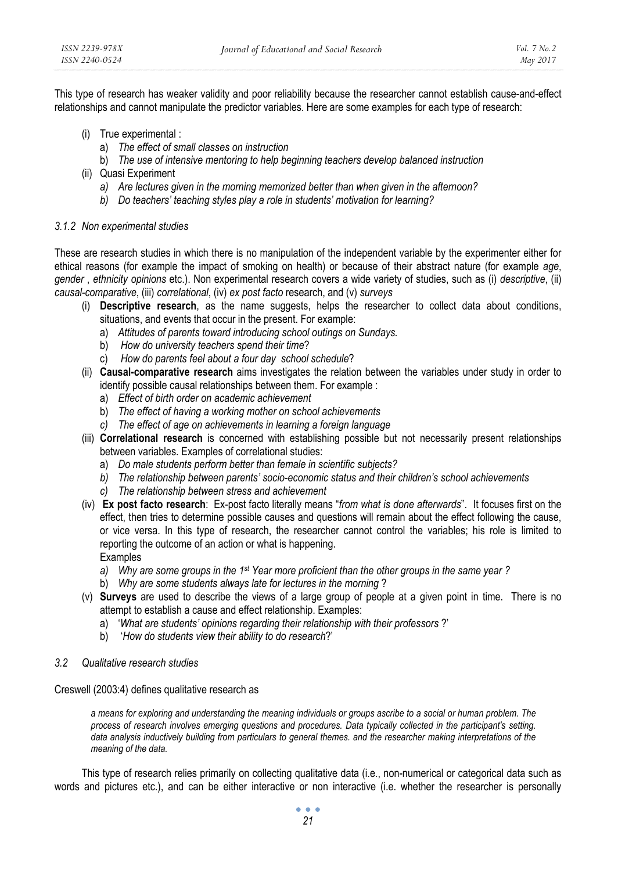This type of research has weaker validity and poor reliability because the researcher cannot establish cause-and-effect relationships and cannot manipulate the predictor variables. Here are some examples for each type of research:

- (i) True experimental :
	- a) *The effect of small classes on instruction*
	- b) *The use of intensive mentoring to help beginning teachers develop balanced instruction*
- (ii) Quasi Experiment
	- *a) Are lectures given in the morning memorized better than when given in the afternoon?*
	- *b) Do teachers' teaching styles play a role in students' motivation for learning?*

## *3.1.2 Non experimental studies*

These are research studies in which there is no manipulation of the independent variable by the experimenter either for ethical reasons (for example the impact of smoking on health) or because of their abstract nature (for example *age*, *gender* , *ethnicity opinions* etc.). Non experimental research covers a wide variety of studies, such as (i) *descriptive*, (ii) *causal-comparative*, (iii) *correlational*, (iv) *ex post facto* research, and (v) *surveys* 

- (i) **Descriptive research**, as the name suggests, helps the researcher to collect data about conditions, situations, and events that occur in the present. For example:
	- a) *Attitudes of parents toward introducing school outings on Sundays.*
	- b) *How do university teachers spend their time*?
	- c) *How do parents feel about a four day school schedule*?
- (ii) **Causal-comparative research** aims investigates the relation between the variables under study in order to identify possible causal relationships between them. For example :
	- a) *Effect of birth order on academic achievement*
	- b) *The effect of having a working mother on school achievements*
	- *c) The effect of age on achievements in learning a foreign language*
- (iii) **Correlational research** is concerned with establishing possible but not necessarily present relationships between variables. Examples of correlational studies:
	- a) *Do male students perform better than female in scientific subjects?*
	- *b) The relationship between parents' socio-economic status and their children's school achievements*
	- *c) The relationship between stress and achievement*
- (iv) **Ex post facto research**: Ex-post facto literally means "*from what is done afterwards*".It focuses first on the effect, then tries to determine possible causes and questions will remain about the effect following the cause, or vice versa. In this type of research, the researcher cannot control the variables; his role is limited to reporting the outcome of an action or what is happening. Examples
	- *a) Why are some groups in the 1st Year more proficient than the other groups in the same year ?*
	- b) *Why are some students always late for lectures in the morning* ?
- (v) **Surveys** are used to describe the views of a large group of people at a given point in time. There is no attempt to establish a cause and effect relationship. Examples:
	- a) '*What are students' opinions regarding their relationship with their professors* ?'
	- b) '*How do students view their ability to do research*?'
- *3.2 Qualitative research studies*

## Creswell (2003:4) defines qualitative research as

*a means for exploring and understanding the meaning individuals or groups ascribe to a social or human problem. The process of research involves emerging questions and procedures. Data typically collected in the participant's setting. data analysis inductively building from particulars to general themes. and the researcher making interpretations of the meaning of the data.* 

This type of research relies primarily on collecting qualitative data (i.e., non-numerical or categorical data such as words and pictures etc.), and can be either interactive or non interactive (i.e. whether the researcher is personally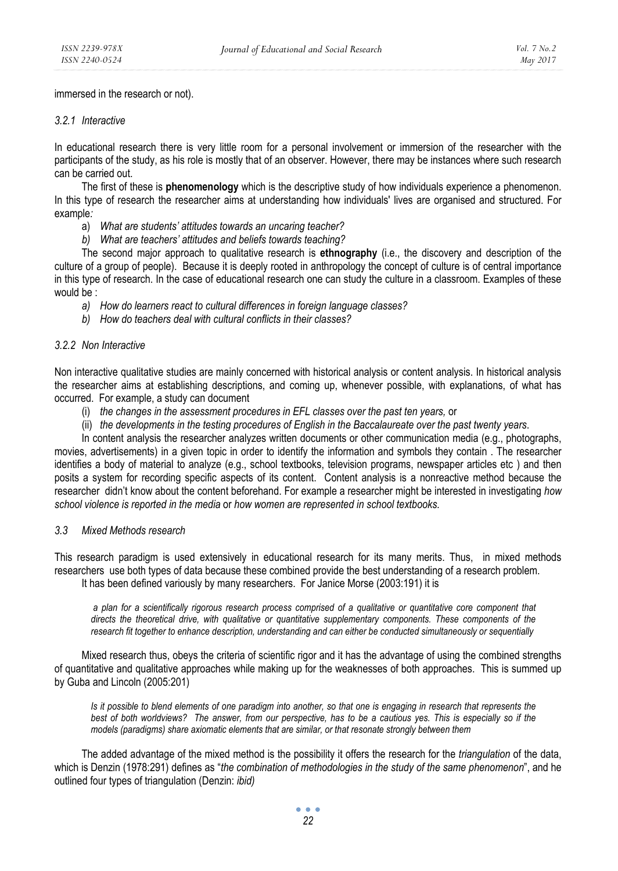immersed in the research or not).

### *3.2.1 Interactive*

In educational research there is very little room for a personal involvement or immersion of the researcher with the participants of the study, as his role is mostly that of an observer. However, there may be instances where such research can be carried out.

The first of these is **phenomenology** which is the descriptive study of how individuals experience a phenomenon. In this type of research the researcher aims at understanding how individuals' lives are organised and structured. For example*:* 

- a) *What are students' attitudes towards an uncaring teacher?*
- *b) What are teachers' attitudes and beliefs towards teaching?*

The second major approach to qualitative research is **ethnography** (i.e., the discovery and description of the culture of a group of people). Because it is deeply rooted in anthropology the concept of culture is of central importance in this type of research. In the case of educational research one can study the culture in a classroom. Examples of these would be :

- *a) How do learners react to cultural differences in foreign language classes?*
- *b) How do teachers deal with cultural conflicts in their classes?*

#### *3.2.2 Non Interactive*

Non interactive qualitative studies are mainly concerned with historical analysis or content analysis. In historical analysis the researcher aims at establishing descriptions, and coming up, whenever possible, with explanations, of what has occurred. For example, a study can document

- (i) *the changes in the assessment procedures in EFL classes over the past ten years,* or
- (ii) *the developments in the testing procedures of English in the Baccalaureate over the past twenty years*.

In content analysis the researcher analyzes written documents or other communication media (e.g., photographs, movies, advertisements) in a given topic in order to identify the information and symbols they contain . The researcher identifies a body of material to analyze (e.g., school textbooks, television programs, newspaper articles etc ) and then posits a system for recording specific aspects of its content. Content analysis is a nonreactive method because the researcher didn't know about the content beforehand. For example a researcher might be interested in investigating *how school violence is reported in the media* or *how women are represented in school textbooks.* 

## *3.3 Mixed Methods research*

This research paradigm is used extensively in educational research for its many merits. Thus, in mixed methods researchers use both types of data because these combined provide the best understanding of a research problem. It has been defined variously by many researchers. For Janice Morse (2003:191) it is

 *a plan for a scientifically rigorous research process comprised of a qualitative or quantitative core component that directs the theoretical drive, with qualitative or quantitative supplementary components. These components of the research fit together to enhance description, understanding and can either be conducted simultaneously or sequentially* 

Mixed research thus, obeys the criteria of scientific rigor and it has the advantage of using the combined strengths of quantitative and qualitative approaches while making up for the weaknesses of both approaches. This is summed up by Guba and Lincoln (2005:201)

*Is it possible to blend elements of one paradigm into another, so that one is engaging in research that represents the best of both worldviews? The answer, from our perspective, has to be a cautious yes. This is especially so if the models (paradigms) share axiomatic elements that are similar, or that resonate strongly between them* 

The added advantage of the mixed method is the possibility it offers the research for the *triangulation* of the data, which is Denzin (1978:291) defines as "*the combination of methodologies in the study of the same phenomenon*", and he outlined four types of triangulation (Denzin: *ibid)*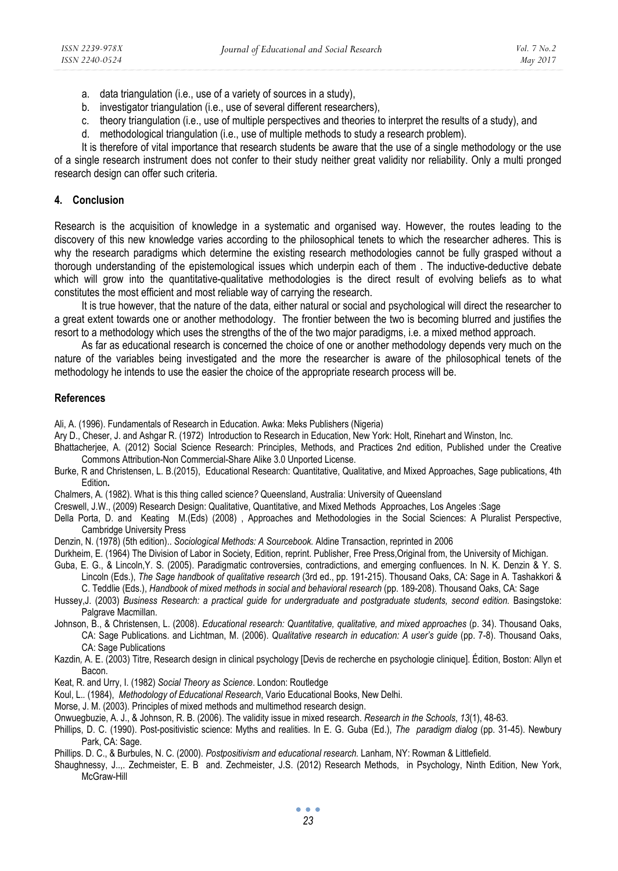- a. data triangulation (i.e., use of a variety of sources in a study),
- b. investigator triangulation (i.e., use of several different researchers),
- c. theory triangulation (i.e., use of multiple perspectives and theories to interpret the results of a study), and
- d. methodological triangulation (i.e., use of multiple methods to study a research problem).

It is therefore of vital importance that research students be aware that the use of a single methodology or the use of a single research instrument does not confer to their study neither great validity nor reliability. Only a multi pronged research design can offer such criteria.

## **4. Conclusion**

Research is the acquisition of knowledge in a systematic and organised way. However, the routes leading to the discovery of this new knowledge varies according to the philosophical tenets to which the researcher adheres. This is why the research paradigms which determine the existing research methodologies cannot be fully grasped without a thorough understanding of the epistemological issues which underpin each of them . The inductive-deductive debate which will grow into the quantitative-qualitative methodologies is the direct result of evolving beliefs as to what constitutes the most efficient and most reliable way of carrying the research.

It is true however, that the nature of the data, either natural or social and psychological will direct the researcher to a great extent towards one or another methodology. The frontier between the two is becoming blurred and justifies the resort to a methodology which uses the strengths of the of the two major paradigms, i.e. a mixed method approach.

As far as educational research is concerned the choice of one or another methodology depends very much on the nature of the variables being investigated and the more the researcher is aware of the philosophical tenets of the methodology he intends to use the easier the choice of the appropriate research process will be.

## **References**

Ali, A. (1996). Fundamentals of Research in Education. Awka: Meks Publishers (Nigeria)

Ary D., Cheser, J. and Ashgar R. (1972) Introduction to Research in Education, New York: Holt, Rinehart and Winston, Inc.

- Bhattacherjee, A. (2012) Social Science Research: Principles, Methods, and Practices 2nd edition, Published under the Creative Commons Attribution-Non Commercial-Share Alike 3.0 Unported License.
- Burke, R and Christensen, L. B.(2015), Educational Research: Quantitative, Qualitative, and Mixed Approaches, Sage publications, 4th Edition**.**

Chalmers, A. (1982). What is this thing called science*?* Queensland, Australia: University of Queensland

Creswell, J.W., (2009) Research Design: Qualitative, Quantitative, and Mixed Methods Approaches, Los Angeles :Sage

- Della Porta, D. and Keating M.(Eds) (2008) , Approaches and Methodologies in the Social Sciences: A Pluralist Perspective, Cambridge University Press
- Denzin, N. (1978) (5th edition).. *Sociological Methods: A Sourcebook.* Aldine Transaction, reprinted in 2006
- Durkheim, E. (1964) The Division of Labor in Society, Edition, reprint. Publisher, Free Press,Original from, the University of Michigan.

Guba, E. G., & Lincoln,Y. S. (2005). Paradigmatic controversies, contradictions, and emerging confluences. In N. K. Denzin & Y. S. Lincoln (Eds.), *The Sage handbook of qualitative research* (3rd ed., pp. 191-215). Thousand Oaks, CA: Sage in A. Tashakkori &

C. Teddlie (Eds.), *Handbook of mixed methods in social and behavioral research* (pp. 189-208)*.* Thousand Oaks, CA: Sage

- Hussey,J. (2003) *Business Research: a practical guide for undergraduate and postgraduate students, second edition. Basingstoke:* Palgrave Macmillan.
- Johnson, B., & Christensen, L. (2008). *Educational research: Quantitative, qualitative, and mixed approaches* (p. 34). Thousand Oaks, CA: Sage Publications. and Lichtman, M. (2006). *Qualitative research in education: A user's guide* (pp. 7-8). Thousand Oaks, CA: Sage Publications

Kazdin*,* A. E. (2003) Titre, Research design in clinical psychology [Devis de recherche en psychologie clinique]. Édition, Boston: Allyn et Bacon.

Keat, R. and Urry, I. (1982) *Social Theory as Science*. London: Routledge

Koul, L.*.* (1984), *Methodology of Educational Research*, Vario Educational Books, New Delhi.

- Morse, J. M. (2003). Principles of mixed methods and multimethod research design.
- Onwuegbuzie, A. J., & Johnson, R. B. (2006). The validity issue in mixed research. *Research in the Schools*, *13*(1), 48-63.
- Phillips, D. C. (1990). Post-positivistic science: Myths and realities. In E. G. Guba (Ed.), *The paradigm dialog* (pp. 31-45). Newbury Park, CA: Sage.

Phillips. D. C., & Burbules, N. C. (2000). *Postpositivism and educational research.* Lanham, NY: Rowman & Littlefield.

Shaughnessy, J..,. Zechmeister, E. B and. Zechmeister, J.S. (2012) Research Methods, in Psychology, Ninth Edition, New York, McGraw-Hill